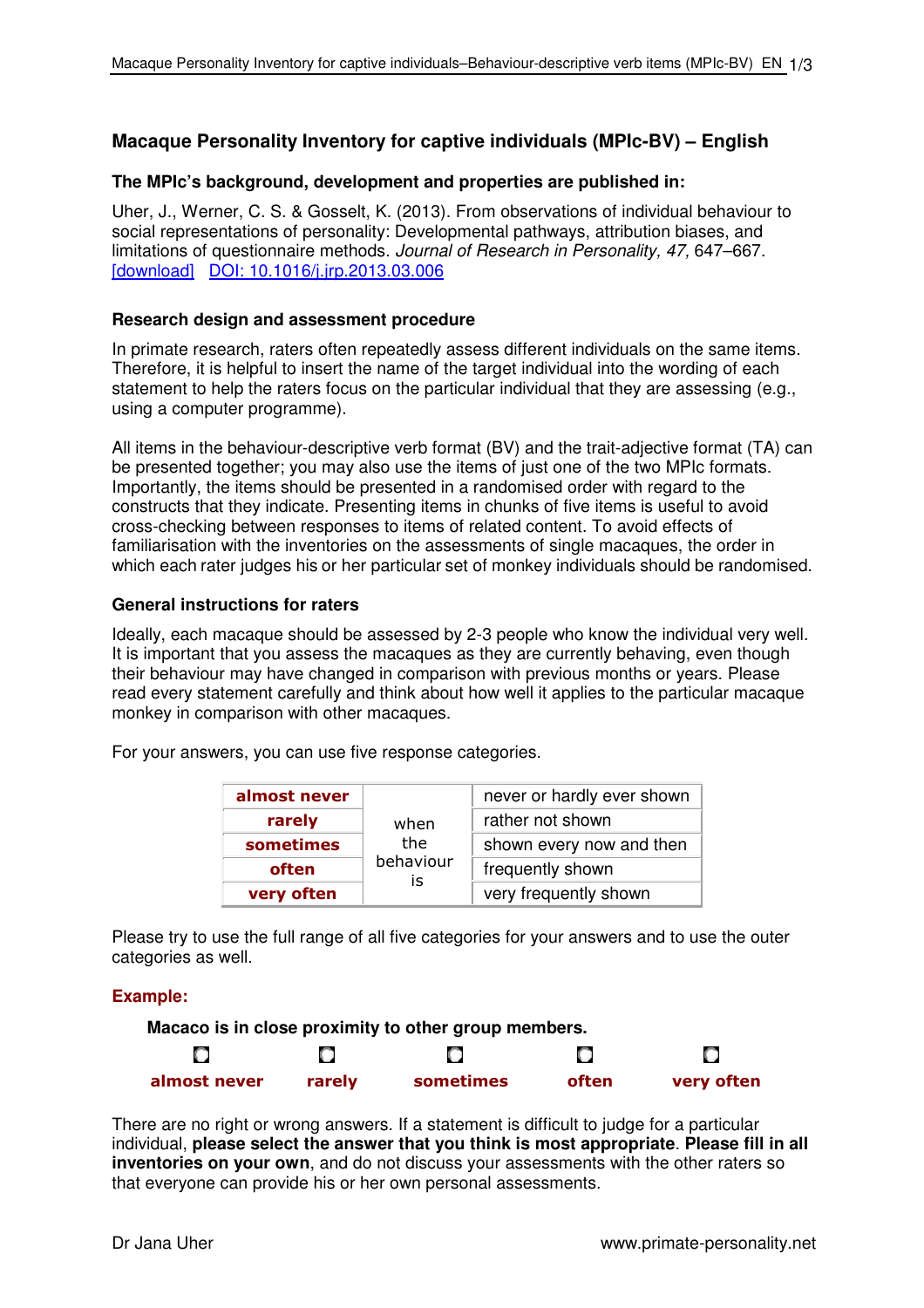# **Macaque Personality Inventory for captive individuals (MPIc-BV) – English**

# **The MPIc's background, development and properties are published in:**

Uher, J., Werner, C. S. & Gosselt, K. (2013). From observations of individual behaviour to social representations of personality: Developmental pathways, attribution biases, and limitations of questionnaire methods. Journal of Research in Personality, 47, 647–667. [download] DOI: 10.1016/j.jrp.2013.03.006

### **Research design and assessment procedure**

In primate research, raters often repeatedly assess different individuals on the same items. Therefore, it is helpful to insert the name of the target individual into the wording of each statement to help the raters focus on the particular individual that they are assessing (e.g., using a computer programme).

All items in the behaviour-descriptive verb format (BV) and the trait-adjective format (TA) can be presented together; you may also use the items of just one of the two MPIc formats. Importantly, the items should be presented in a randomised order with regard to the constructs that they indicate. Presenting items in chunks of five items is useful to avoid cross-checking between responses to items of related content. To avoid effects of familiarisation with the inventories on the assessments of single macaques, the order in which each rater judges his or her particular set of monkey individuals should be randomised.

## **General instructions for raters**

Ideally, each macaque should be assessed by 2-3 people who know the individual very well. It is important that you assess the macaques as they are currently behaving, even though their behaviour may have changed in comparison with previous months or years. Please read every statement carefully and think about how well it applies to the particular macaque monkey in comparison with other macaques.

For your answers, you can use five response categories.

| almost never |           | never or hardly ever shown |  |  |  |  |
|--------------|-----------|----------------------------|--|--|--|--|
| rarely       | when      | rather not shown           |  |  |  |  |
| sometimes    | the       | shown every now and then   |  |  |  |  |
| often        | behaviour | frequently shown           |  |  |  |  |
| very often   | IS        | very frequently shown      |  |  |  |  |

Please try to use the full range of all five categories for your answers and to use the outer categories as well.

# **Example:**

**Macaco is in close proximity to other group members.** O  $\bigcirc$  $\bigcirc$  $\bigcirc$ О **almost never rarely sometimes often very often**

There are no right or wrong answers. If a statement is difficult to judge for a particular individual, **please select the answer that you think is most appropriate**. **Please fill in all inventories on your own**, and do not discuss your assessments with the other raters so that everyone can provide his or her own personal assessments.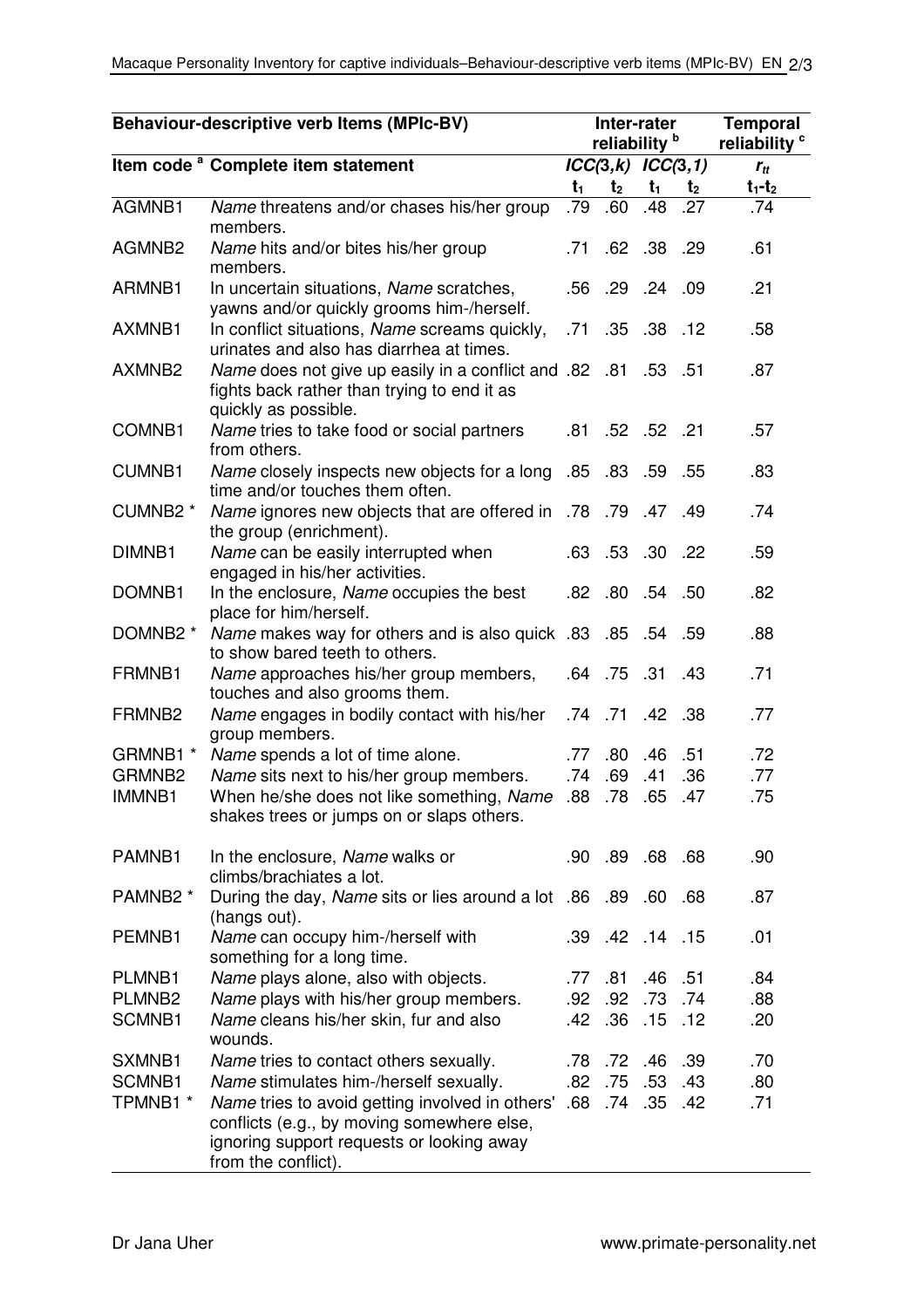| Behaviour-descriptive verb Items (MPIc-BV) |                                                                                                                                                                       | Inter-rater<br>reliability <sup>b</sup> |                |                       |                | <b>Temporal</b><br>reliability <sup>c</sup> |
|--------------------------------------------|-----------------------------------------------------------------------------------------------------------------------------------------------------------------------|-----------------------------------------|----------------|-----------------------|----------------|---------------------------------------------|
|                                            | Item code <sup>a</sup> Complete item statement                                                                                                                        |                                         |                | $ICC(3,k)$ $ICC(3,1)$ |                | $r_{tt}$                                    |
|                                            |                                                                                                                                                                       | $t_1$                                   | t <sub>2</sub> | $t_1$                 | t <sub>2</sub> | $t_1-t_2$                                   |
| AGMNB1                                     | Name threatens and/or chases his/her group<br>members.                                                                                                                | .79                                     | .60            | .48                   | .27            | .74                                         |
| AGMNB <sub>2</sub>                         | Name hits and/or bites his/her group<br>members.                                                                                                                      | .71                                     |                | .62 .38 .29           |                | .61                                         |
| ARMNB1                                     | In uncertain situations, Name scratches,<br>yawns and/or quickly grooms him-/herself.                                                                                 |                                         |                | .56 .29 .24 .09       |                | .21                                         |
| AXMNB1                                     | In conflict situations, Name screams quickly,<br>urinates and also has diarrhea at times.                                                                             | .71                                     | .35            | $.38$ .12             |                | .58                                         |
| AXMNB <sub>2</sub>                         | 51. 53. Name does not give up easily in a conflict and .82 .81 .53<br>fights back rather than trying to end it as<br>quickly as possible.                             |                                         |                |                       |                | .87                                         |
| COMNB1                                     | Name tries to take food or social partners<br>from others.                                                                                                            |                                         |                | .81 .52 .52 .21       |                | .57                                         |
| <b>CUMNB1</b>                              | 55. 59. 83. 85. Name closely inspects new objects for a long .85. 83<br>time and/or touches them often.                                                               |                                         |                |                       |                | .83                                         |
| CUMNB2 *                                   | Alame ignores new objects that are offered in .78 .79 .47 .49<br>the group (enrichment).                                                                              |                                         |                |                       |                | .74                                         |
| DIMNB1                                     | Name can be easily interrupted when<br>engaged in his/her activities.                                                                                                 |                                         |                | .63 .53 .30 .22       |                | .59                                         |
| DOMNB1                                     | In the enclosure, Name occupies the best<br>place for him/herself.                                                                                                    | .82                                     | .80            | .54 .50               |                | .82                                         |
| DOMNB2 *                                   | 59. 54. 85. 85. Wame makes way for others and is also quick .83<br>to show bared teeth to others.                                                                     |                                         |                |                       |                | .88                                         |
| FRMNB1                                     | Name approaches his/her group members,<br>touches and also grooms them.                                                                                               | .64 .75                                 |                | .31                   | .43            | .71                                         |
| FRMNB <sub>2</sub>                         | Name engages in bodily contact with his/her<br>group members.                                                                                                         |                                         |                | .74 .71 .42 .38       |                | .77                                         |
| GRMNB1 *                                   | Name spends a lot of time alone.                                                                                                                                      | .77                                     | .80            | .46                   | .51            | .72                                         |
| GRMNB <sub>2</sub>                         | Name sits next to his/her group members.                                                                                                                              | .74                                     | .69            | .41                   | .36            | .77                                         |
| <b>IMMNB1</b>                              | When he/she does not like something, Name<br>shakes trees or jumps on or slaps others.                                                                                | .88                                     | .78            | .65                   | .47            | .75                                         |
| PAMNB1                                     | In the enclosure, Name walks or<br>climbs/brachiates a lot.                                                                                                           |                                         |                | .90 89 68 68          |                | .90                                         |
| PAMNB <sub>2</sub> *                       | During the day, Name sits or lies around a lot .86 .89 .60 .68<br>(hangs out).                                                                                        |                                         |                |                       |                | .87                                         |
| PEMNB1                                     | Name can occupy him-/herself with<br>something for a long time.                                                                                                       |                                         |                | .39 .42 .14 .15       |                | .01                                         |
| PLMNB1                                     | Name plays alone, also with objects.                                                                                                                                  | .77                                     | .81            | .46 .51               |                | .84                                         |
| PLMNB <sub>2</sub>                         | Name plays with his/her group members.                                                                                                                                |                                         |                | .92 .92 .73 .74       |                | .88                                         |
| SCMNB1                                     | Name cleans his/her skin, fur and also<br>wounds.                                                                                                                     |                                         |                | .42 .36 .15 .12       |                | .20                                         |
| SXMNB1                                     | Name tries to contact others sexually.                                                                                                                                |                                         |                | .78 .72 .46 .39       |                | .70                                         |
| SCMNB1                                     | Name stimulates him-/herself sexually.                                                                                                                                |                                         | .82 .75        | .53                   | .43            | .80                                         |
| TPMNB1 *                                   | Name tries to avoid getting involved in others' .68<br>conflicts (e.g., by moving somewhere else,<br>ignoring support requests or looking away<br>from the conflict). |                                         |                | .74 .35 .42           |                | .71                                         |